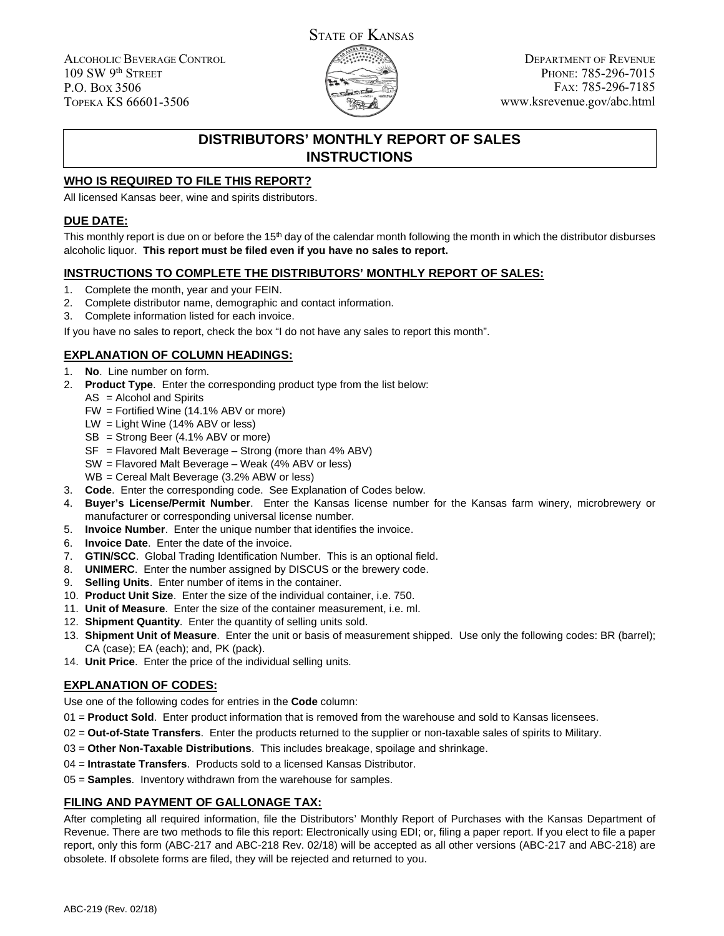ALCOHOLIC BEVERAGE CONTROL 109 SW 9th STREET P.O. BOX 3506 TOPEKA KS 66601-3506



DEPARTMENT OF REVENUE PHONE: 785-296-7015 FAX: 785-296-7185 www.ksrevenue.gov/abc.html

## **DISTRIBUTORS' MONTHLY REPORT OF SALES INSTRUCTIONS**

### **WHO IS REQUIRED TO FILE THIS REPORT?**

All licensed Kansas beer, wine and spirits distributors.

### **DUE DATE:**

This monthly report is due on or before the 15<sup>th</sup> day of the calendar month following the month in which the distributor disburses alcoholic liquor. **This report must be filed even if you have no sales to report.**

#### **INSTRUCTIONS TO COMPLETE THE DISTRIBUTORS' MONTHLY REPORT OF SALES:**

- 1. Complete the month, year and your FEIN.
- 2. Complete distributor name, demographic and contact information.
- 3. Complete information listed for each invoice.

If you have no sales to report, check the box "I do not have any sales to report this month".

### **EXPLANATION OF COLUMN HEADINGS:**

- 1. **No**. Line number on form.
- 2. **Product Type**. Enter the corresponding product type from the list below:
	- AS = Alcohol and Spirits
	- FW = Fortified Wine (14.1% ABV or more)
	- LW = Light Wine (14% ABV or less)
	- SB = Strong Beer (4.1% ABV or more)
	- SF = Flavored Malt Beverage Strong (more than 4% ABV)
	- SW = Flavored Malt Beverage Weak (4% ABV or less)
	- WB = Cereal Malt Beverage (3.2% ABW or less)
- 3. **Code**. Enter the corresponding code. See Explanation of Codes below.
- 4. **Buyer's License/Permit Number**. Enter the Kansas license number for the Kansas farm winery, microbrewery or manufacturer or corresponding universal license number.
- 5. **Invoice Number**. Enter the unique number that identifies the invoice.
- 6. **Invoice Date**. Enter the date of the invoice.
- 7. **GTIN/SCC**. Global Trading Identification Number. This is an optional field.
- 8. **UNIMERC**. Enter the number assigned by DISCUS or the brewery code.
- 9. **Selling Units**. Enter number of items in the container.
- 10. **Product Unit Size**. Enter the size of the individual container, i.e. 750.
- 11. **Unit of Measure**. Enter the size of the container measurement, i.e. ml.
- 12. **Shipment Quantity**. Enter the quantity of selling units sold.
- 13. **Shipment Unit of Measure**. Enter the unit or basis of measurement shipped. Use only the following codes: BR (barrel); CA (case); EA (each); and, PK (pack).
- 14. **Unit Price**. Enter the price of the individual selling units.

### **EXPLANATION OF CODES:**

- Use one of the following codes for entries in the **Code** column:
- 01 = **Product Sold**. Enter product information that is removed from the warehouse and sold to Kansas licensees.
- 02 = **Out-of-State Transfers**. Enter the products returned to the supplier or non-taxable sales of spirits to Military.
- 03 = **Other Non-Taxable Distributions**. This includes breakage, spoilage and shrinkage.
- 04 = **Intrastate Transfers**. Products sold to a licensed Kansas Distributor.
- 05 = **Samples**. Inventory withdrawn from the warehouse for samples.

### **FILING AND PAYMENT OF GALLONAGE TAX:**

After completing all required information, file the Distributors' Monthly Report of Purchases with the Kansas Department of Revenue. There are two methods to file this report: Electronically using EDI; or, filing a paper report. If you elect to file a paper report, only this form (ABC-217 and ABC-218 Rev. 02/18) will be accepted as all other versions (ABC-217 and ABC-218) are obsolete. If obsolete forms are filed, they will be rejected and returned to you.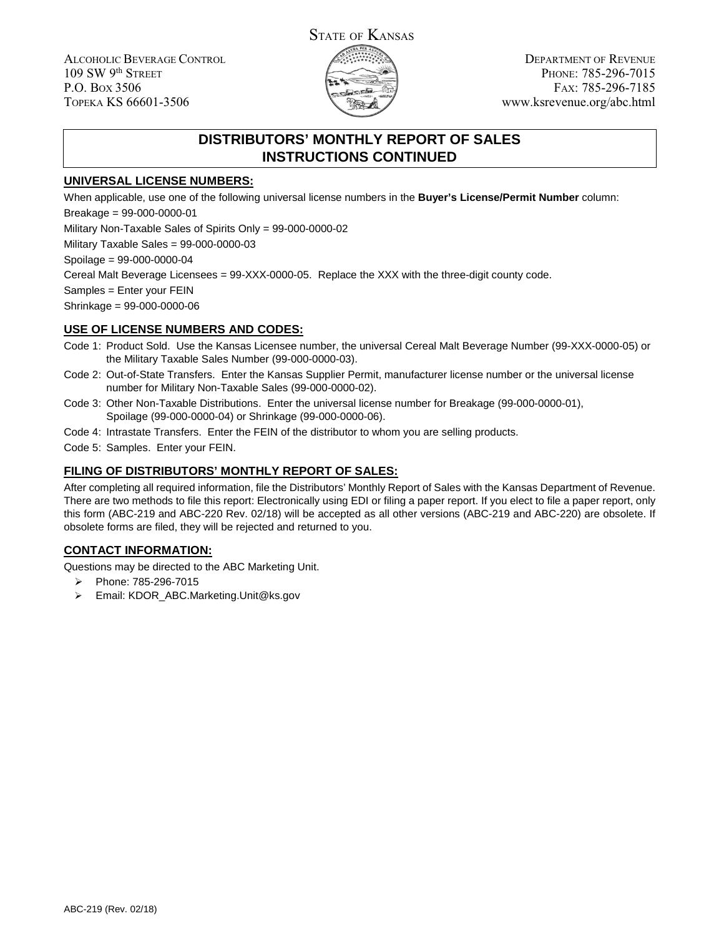ALCOHOLIC BEVERAGE CONTROL 109 SW 9th STREET P.O. BOX 3506 TOPEKA KS 66601-3506



DEPARTMENT OF REVENUE PHONE: 785-296-7015 FAX: 785-296-7185 www.ksrevenue.org/abc.html

# **DISTRIBUTORS' MONTHLY REPORT OF SALES INSTRUCTIONS CONTINUED**

### **UNIVERSAL LICENSE NUMBERS:**

When applicable, use one of the following universal license numbers in the **Buyer's License/Permit Number** column: Breakage = 99-000-0000-01

Military Non-Taxable Sales of Spirits Only = 99-000-0000-02

Military Taxable Sales = 99-000-0000-03

Spoilage = 99-000-0000-04

Cereal Malt Beverage Licensees = 99-XXX-0000-05. Replace the XXX with the three-digit county code.

Samples = Enter your FEIN

Shrinkage = 99-000-0000-06

#### **USE OF LICENSE NUMBERS AND CODES:**

- Code 1: Product Sold. Use the Kansas Licensee number, the universal Cereal Malt Beverage Number (99-XXX-0000-05) or the Military Taxable Sales Number (99-000-0000-03).
- Code 2: Out-of-State Transfers. Enter the Kansas Supplier Permit, manufacturer license number or the universal license number for Military Non-Taxable Sales (99-000-0000-02).
- Code 3: Other Non-Taxable Distributions. Enter the universal license number for Breakage (99-000-0000-01), Spoilage (99-000-0000-04) or Shrinkage (99-000-0000-06).
- Code 4: Intrastate Transfers. Enter the FEIN of the distributor to whom you are selling products.
- Code 5: Samples. Enter your FEIN.

### **FILING OF DISTRIBUTORS' MONTHLY REPORT OF SALES:**

After completing all required information, file the Distributors' Monthly Report of Sales with the Kansas Department of Revenue. There are two methods to file this report: Electronically using EDI or filing a paper report. If you elect to file a paper report, only this form (ABC-219 and ABC-220 Rev. 02/18) will be accepted as all other versions (ABC-219 and ABC-220) are obsolete. If obsolete forms are filed, they will be rejected and returned to you.

### **CONTACT INFORMATION:**

Questions may be directed to the ABC Marketing Unit.

- Phone: 785-296-7015
- Email: KDOR\_ABC.Marketing.Unit@ks.gov